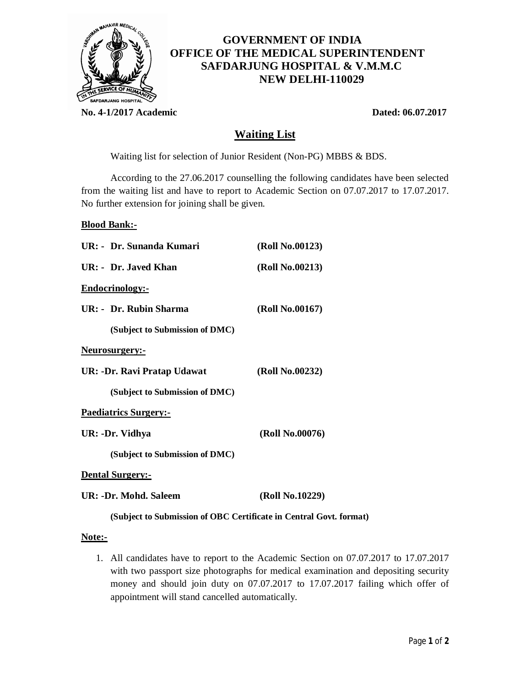

# **GOVERNMENT OF INDIA OFFICE OF THE MEDICAL SUPERINTENDENT SAFDARJUNG HOSPITAL & V.M.M.C NEW DELHI-110029**

**No. 4-1/2017 Academic Dated: 06.07.2017**

## **Waiting List**

Waiting list for selection of Junior Resident (Non-PG) MBBS & BDS.

According to the 27.06.2017 counselling the following candidates have been selected from the waiting list and have to report to Academic Section on 07.07.2017 to 17.07.2017. No further extension for joining shall be given.

#### **Blood Bank:-**

| UR: - Dr. Sunanda Kumari       | (Roll No.00123) |
|--------------------------------|-----------------|
| UR: - Dr. Javed Khan           | (Roll No.00213) |
| Endocrinology:-                |                 |
| $IIR:$ Dr. Rubin Sharma        | (Roll No.00167) |
| (Subject to Submission of DMC) |                 |
| <u>Neurosurgery:-</u>          |                 |
| UR: -Dr. Ravi Pratap Udawat    | (Roll No.00232) |
| (Subject to Submission of DMC) |                 |
| <b>Paediatrics Surgery:-</b>   |                 |
| UR: -Dr. Vidhya                | (Roll No.00076) |
| (Subject to Submission of DMC) |                 |
| <b>Dental Surgery:-</b>        |                 |
| UR: -Dr. Mohd. Saleem          | (Roll No.10229) |

### **(Subject to Submission of OBC Certificate in Central Govt. format)**

#### **Note:-**

1. All candidates have to report to the Academic Section on 07.07.2017 to 17.07.2017 with two passport size photographs for medical examination and depositing security money and should join duty on 07.07.2017 to 17.07.2017 failing which offer of appointment will stand cancelled automatically.